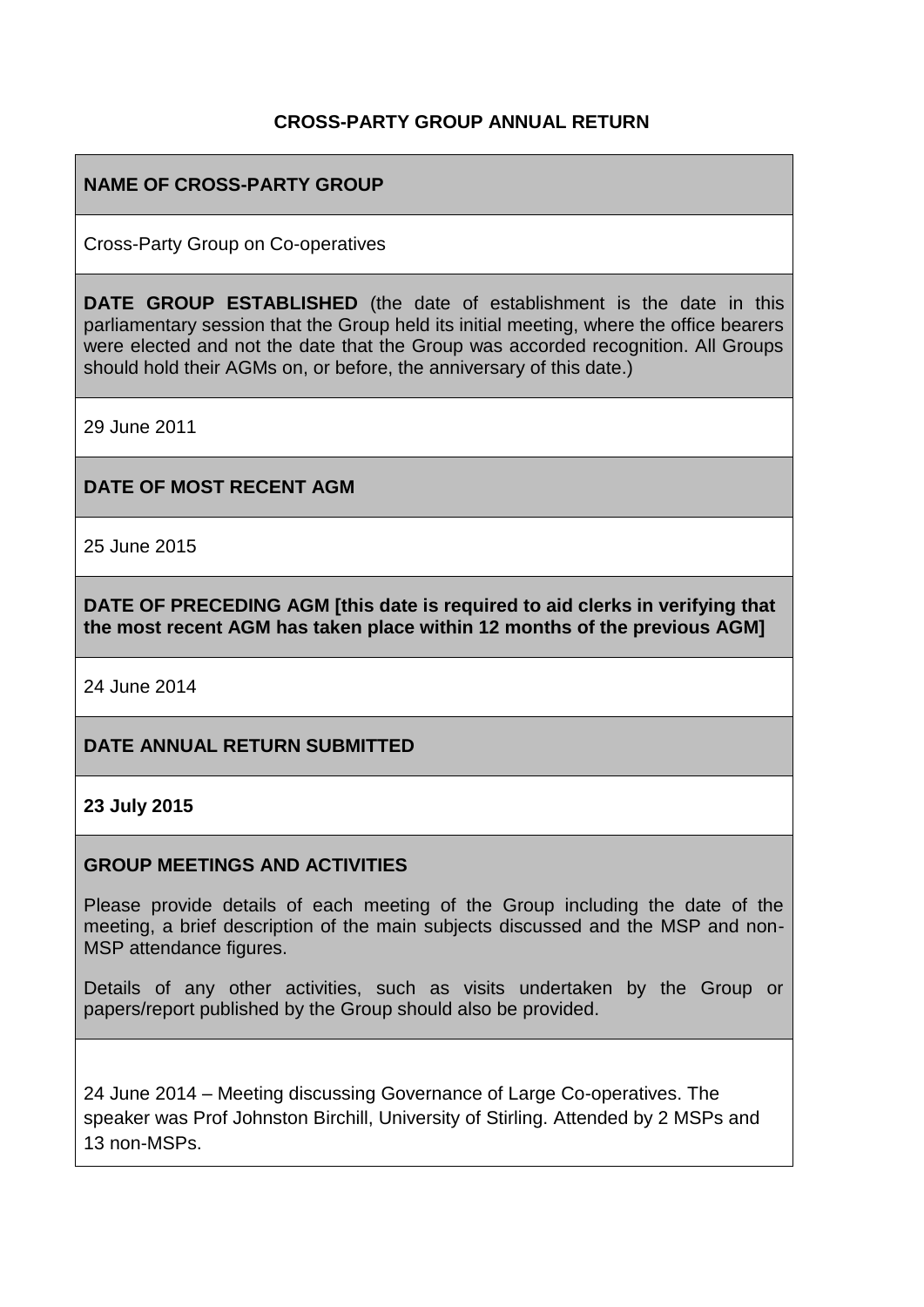## **CROSS-PARTY GROUP ANNUAL RETURN**

## **NAME OF CROSS-PARTY GROUP**

Cross-Party Group on Co-operatives

**DATE GROUP ESTABLISHED** (the date of establishment is the date in this parliamentary session that the Group held its initial meeting, where the office bearers were elected and not the date that the Group was accorded recognition. All Groups should hold their AGMs on, or before, the anniversary of this date.)

29 June 2011

#### **DATE OF MOST RECENT AGM**

25 June 2015

**DATE OF PRECEDING AGM [this date is required to aid clerks in verifying that the most recent AGM has taken place within 12 months of the previous AGM]**

24 June 2014

#### **DATE ANNUAL RETURN SUBMITTED**

#### **23 July 2015**

#### **GROUP MEETINGS AND ACTIVITIES**

Please provide details of each meeting of the Group including the date of the meeting, a brief description of the main subjects discussed and the MSP and non-MSP attendance figures.

Details of any other activities, such as visits undertaken by the Group or papers/report published by the Group should also be provided.

24 June 2014 – Meeting discussing Governance of Large Co-operatives. The speaker was Prof Johnston Birchill, University of Stirling. Attended by 2 MSPs and 13 non-MSPs.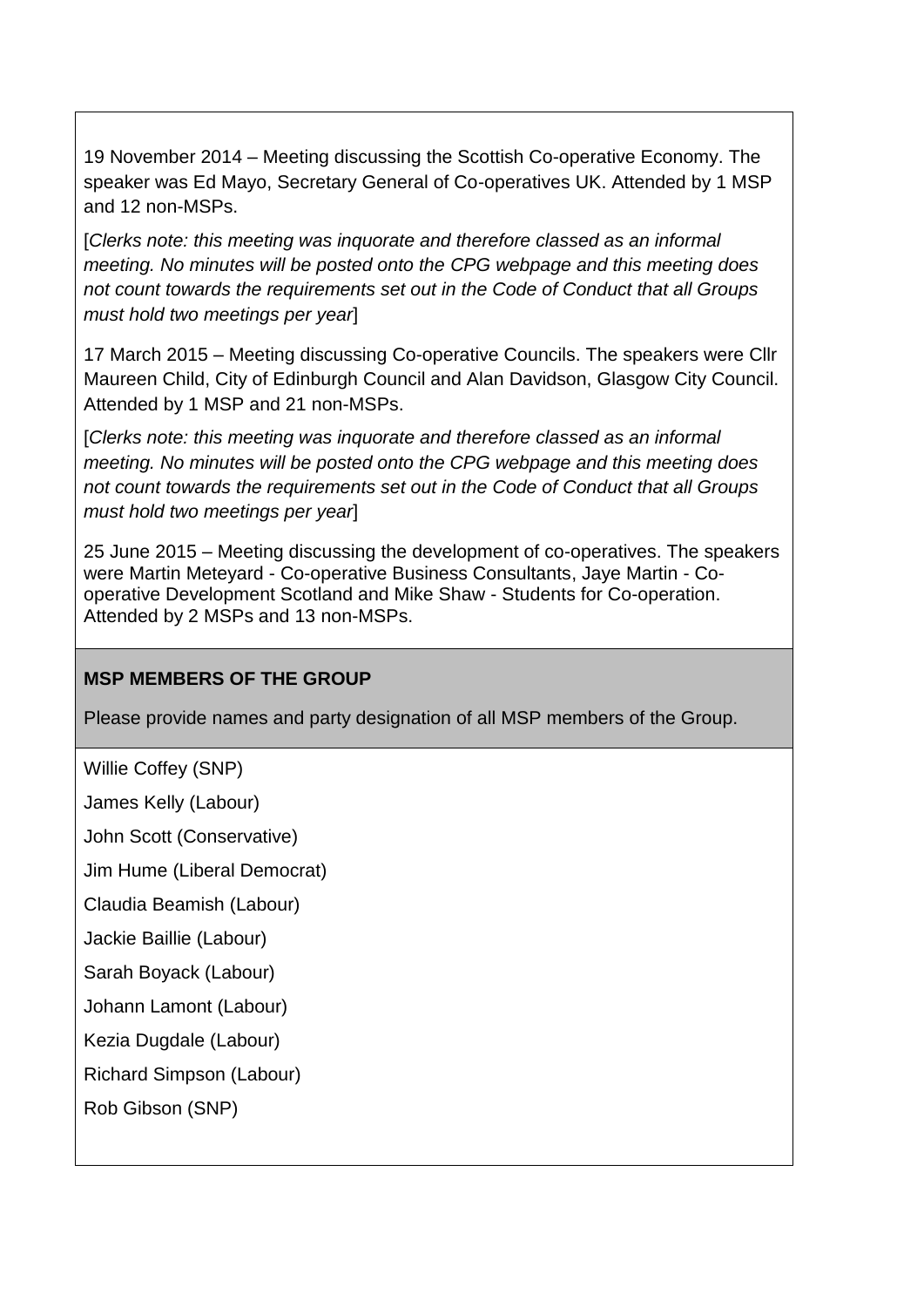19 November 2014 – Meeting discussing the Scottish Co-operative Economy. The speaker was Ed Mayo, Secretary General of Co-operatives UK. Attended by 1 MSP and 12 non-MSPs.

[*Clerks note: this meeting was inquorate and therefore classed as an informal meeting. No minutes will be posted onto the CPG webpage and this meeting does not count towards the requirements set out in the Code of Conduct that all Groups must hold two meetings per year*]

17 March 2015 – Meeting discussing Co-operative Councils. The speakers were Cllr Maureen Child, City of Edinburgh Council and Alan Davidson, Glasgow City Council. Attended by 1 MSP and 21 non-MSPs.

[*Clerks note: this meeting was inquorate and therefore classed as an informal meeting. No minutes will be posted onto the CPG webpage and this meeting does not count towards the requirements set out in the Code of Conduct that all Groups must hold two meetings per year*]

25 June 2015 – Meeting discussing the development of co-operatives. The speakers were Martin Meteyard - Co-operative Business Consultants, Jaye Martin - Cooperative Development Scotland and Mike Shaw - Students for Co-operation. Attended by 2 MSPs and 13 non-MSPs.

## **MSP MEMBERS OF THE GROUP**

Please provide names and party designation of all MSP members of the Group.

Willie Coffey (SNP)

James Kelly (Labour)

John Scott (Conservative)

Jim Hume (Liberal Democrat)

Claudia Beamish (Labour)

Jackie Baillie (Labour)

Sarah Boyack (Labour)

Johann Lamont (Labour)

Kezia Dugdale (Labour)

Richard Simpson (Labour)

Rob Gibson (SNP)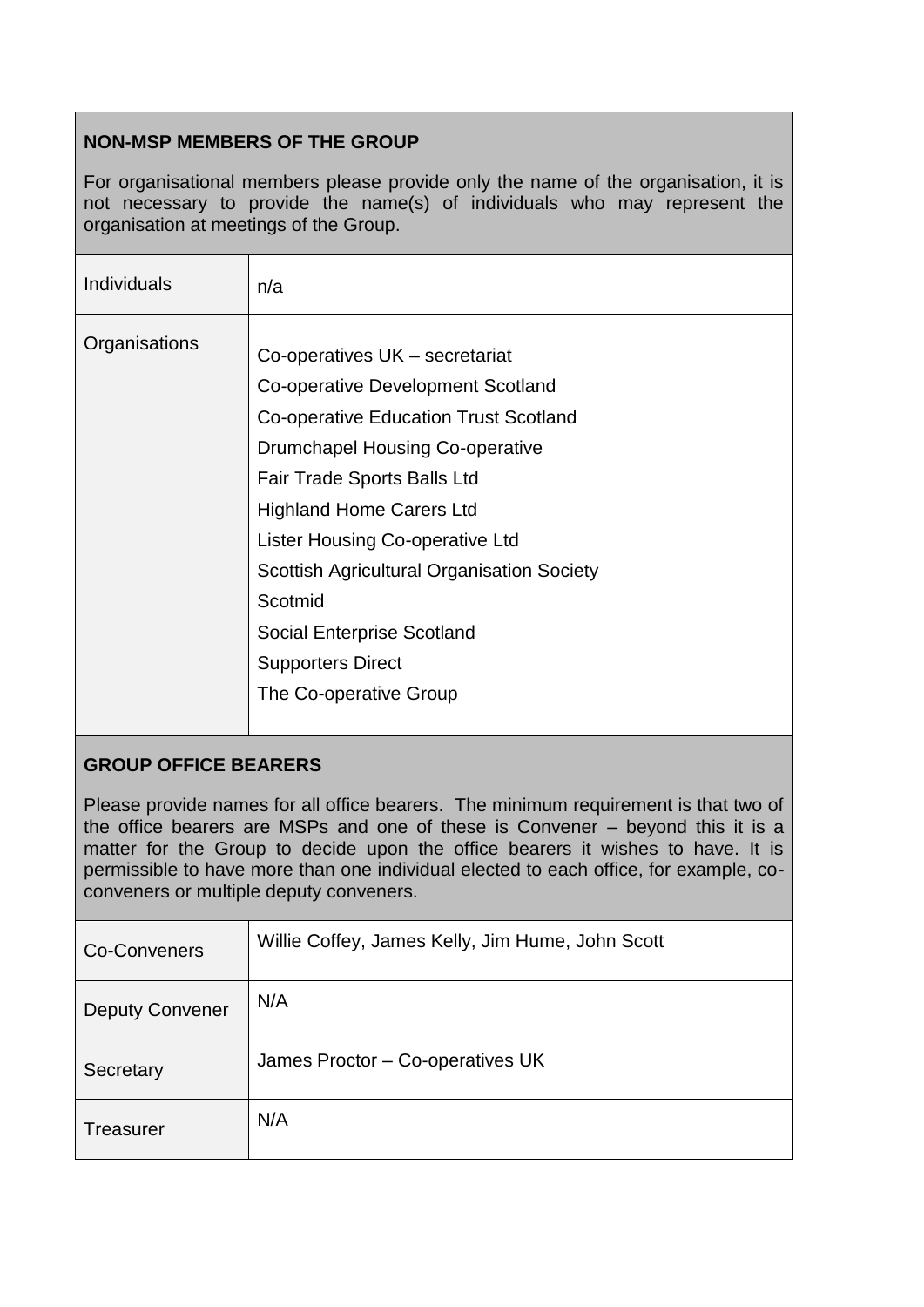# **NON-MSP MEMBERS OF THE GROUP**

For organisational members please provide only the name of the organisation, it is not necessary to provide the name(s) of individuals who may represent the organisation at meetings of the Group.

| <b>Individuals</b> | n/a                                                                                                                                                                                                                                                                                                                                                                                                                    |
|--------------------|------------------------------------------------------------------------------------------------------------------------------------------------------------------------------------------------------------------------------------------------------------------------------------------------------------------------------------------------------------------------------------------------------------------------|
| Organisations      | Co-operatives UK - secretariat<br>Co-operative Development Scotland<br>Co-operative Education Trust Scotland<br>Drumchapel Housing Co-operative<br><b>Fair Trade Sports Balls Ltd</b><br><b>Highland Home Carers Ltd</b><br>Lister Housing Co-operative Ltd<br><b>Scottish Agricultural Organisation Society</b><br>Scotmid<br><b>Social Enterprise Scotland</b><br><b>Supporters Direct</b><br>The Co-operative Group |
|                    |                                                                                                                                                                                                                                                                                                                                                                                                                        |

# **GROUP OFFICE BEARERS**

Please provide names for all office bearers. The minimum requirement is that two of the office bearers are MSPs and one of these is Convener – beyond this it is a matter for the Group to decide upon the office bearers it wishes to have. It is permissible to have more than one individual elected to each office, for example, coconveners or multiple deputy conveners.

| Co-Conveners           | Willie Coffey, James Kelly, Jim Hume, John Scott |
|------------------------|--------------------------------------------------|
| <b>Deputy Convener</b> | N/A                                              |
| Secretary              | James Proctor - Co-operatives UK                 |
| Treasurer              | N/A                                              |